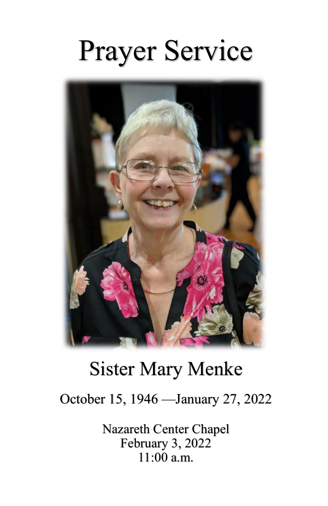# Prayer Service



## Sister Mary Menke

October 15, 1946 —January 27, 2022

Nazareth Center Chapel February 3, 2022  $11:00$  a.m.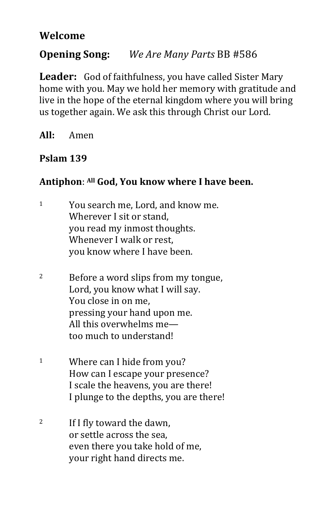#### **Welcome**

### **Opening Song:** *We Are Many Parts* BB #586

**Leader:** God of faithfulness, you have called Sister Mary home with you. May we hold her memory with gratitude and live in the hope of the eternal kingdom where you will bring us together again. We ask this through Christ our Lord.

**All:** Amen

#### **Pslam 139**

#### **Antiphon**: **All God, You know where I have been.**

- <sup>1</sup> You search me, Lord, and know me. Wherever I sit or stand, you read my inmost thoughts. Whenever I walk or rest, you know where I have been.
- <sup>2</sup> Before a word slips from my tongue, Lord, you know what I will say. You close in on me, pressing your hand upon me. All this overwhelms me too much to understand!
- <sup>1</sup> Where can I hide from you? How can I escape your presence? I scale the heavens, you are there! I plunge to the depths, you are there!
- <sup>2</sup> If I fly toward the dawn, or settle across the sea, even there you take hold of me, your right hand directs me.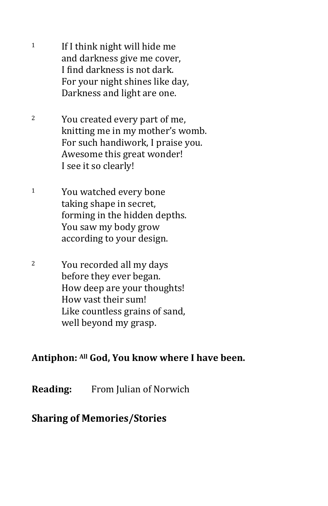- $1$  If I think night will hide me and darkness give me cover, I find darkness is not dark. For your night shines like day, Darkness and light are one.
- <sup>2</sup> You created every part of me, knitting me in my mother's womb. For such handiwork, I praise you. Awesome this great wonder! I see it so clearly!
- <sup>1</sup> You watched every bone taking shape in secret, forming in the hidden depths. You saw my body grow according to your design.
- <sup>2</sup> You recorded all my days before they ever began. How deep are your thoughts! How vast their sum! Like countless grains of sand, well beyond my grasp.

#### **Antiphon: All God, You know where I have been.**

**Reading:** From Julian of Norwich

#### **Sharing of Memories/Stories**